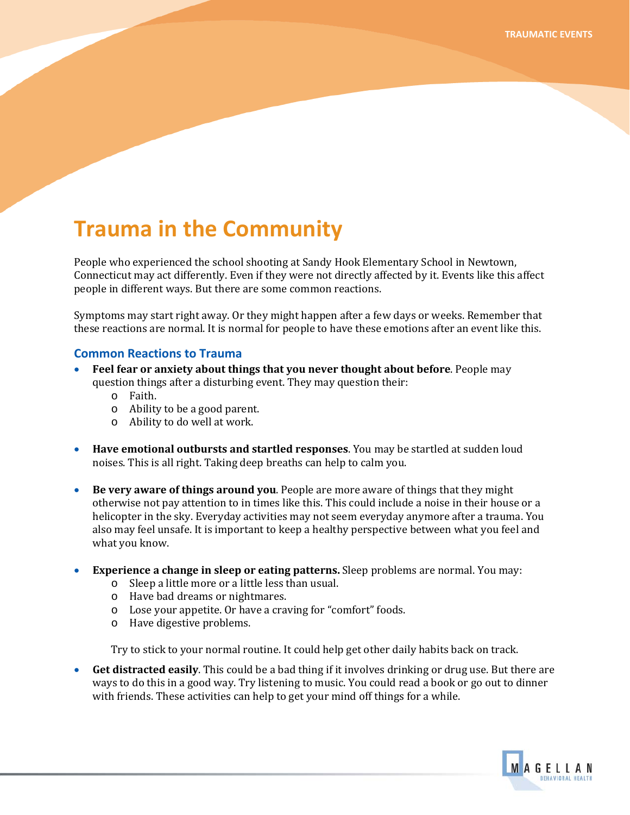# **Trauma in the Community**

People who experienced the school shooting at Sandy Hook Elementary School in Newtown, Connecticut may act differently. Even if they were not directly affected by it. Events like this affect people in different ways. But there are some common reactions.

Symptoms may start right away. Or they might happen after a few days or weeks. Remember that these reactions are normal. It is normal for people to have these emotions after an event like this.

#### **Common Reactions to Trauma**

- **•** Feel fear or anxiety about things that you never thought about before. People may question things after a disturbing event. They may question their:
	- o Faith.
	- o . Ability to be a good parent
	- o Ability to do well at work.
- **Have emotional outbursts and startled responses**. You may be startled at sudden loud noises. This is all right. Taking deep breaths can help to calm you.
- **Be very aware of things around you**. People are more aware of things that they might otherwise not pay attention to in times like this. This could include a noise in their house or a helicopter in the sky. Everyday activities may not seem everyday anymore after a trauma. You also may feel unsafe. It is important to keep a healthy perspective between what you feel and what you know.
- Experience a change in sleep or eating patterns. Sleep problems are normal. You may:
	- o Sleep a little more or a little less than usual.
	- o Have bad dreams or nightmares.
	- o Lose your appetite. Or have a craving for "comfort" foods.
	- o Have digestive problems.

Try to stick to your normal routine. It could help get other daily habits back on track.

• **Get distracted easily**. This could be a bad thing if it involves drinking or drug use. But there are ways to do this in a good way. Try listening to music. You could read a book or go out to dinner with friends. These activities can help to get your mind off things for a while.

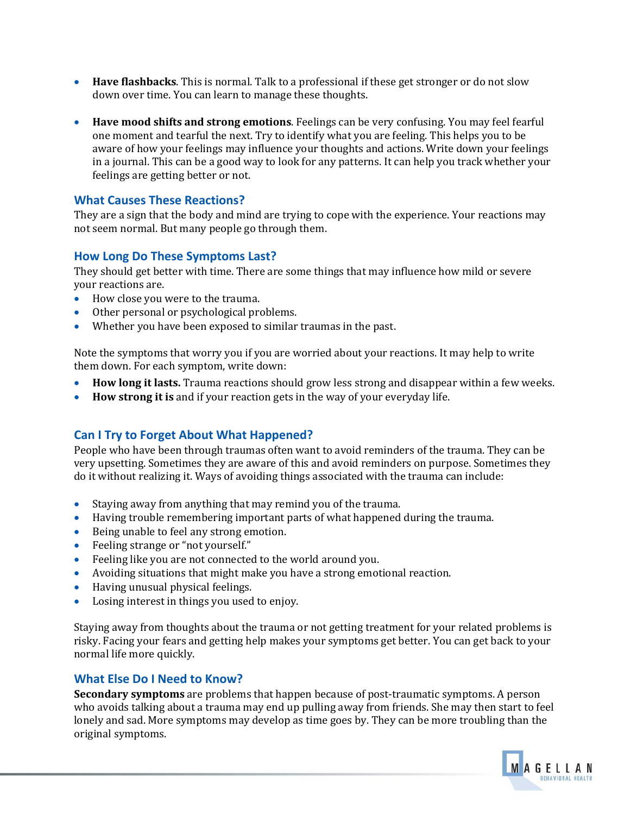- Have flashbacks. This is normal. Talk to a professional if these get stronger or do not slow down over time. You can learn to manage these thoughts.
- **Have mood shifts and strong emotions**. Feelings can be very confusing. You may feel fearful one moment and tearful the next. Try to identify what you are feeling. This helps you to be aware of how your feelings may influence your thoughts and actions. Write down your feelings in a journal. This can be a good way to look for any patterns. It can help you track whether your feelings are getting better or not.

## **What Causes These Reactions?**

They are a sign that the body and mind are trying to cope with the experience. Your reactions may not seem normal. But many people go through them.

### **How Long Do These Symptoms Last?**

They should get better with time. There are some things that may influence how mild or severe you r reactions are.

- How close you were to the trauma.
- Other personal or psychological problems.
- Whether you have been exposed to similar traumas in the past.

Note the symptoms th at worry you if you are worried about your reactions. It may help to write them down. For each symptom, write down:

- How long it lasts. Trauma reactions should grow less strong and disappear within a few weeks.
- **How strong it is** and if your reaction gets in the way of your everyday life.

# **Can I Try to Forget About What Happened?**

People who have been through traumas often want to avoid reminders of the trauma. They can be very upsetting. Sometimes they are aware of this and avoid reminders on purpose. Sometimes they do it without realizing it. Ways of avoiding things associated with the trauma can include:

- Staying away from anything that may rem ind you of the trauma.
- Having trouble remembering important parts of what happened during the trauma.
- Being unable to feel any strong emotion.
- Feeling strange or "not yourself."
- Feeling like you are not connected to the world around you.
- Avoiding situations that might make you have a strong emotional reaction.
- Having unusual physical feelings.
- Losing interest in things you used to enjoy.

Staying away from thoughts about the trauma or not getting treatment for your related problems is risky. Facing your fears and getting help makes your symptoms get better. You can get back to your normal life more quickly.

## **What Else Do I Need to Know?**

**Secondary symptoms** are problems that happen because of post-traumatic symptoms. A person who avoids talking about a trauma may end up pulling away from friends. She may then start to feel lonely and sad. More symptoms may develop as time goes by. They can be more troubling than the original symptoms.

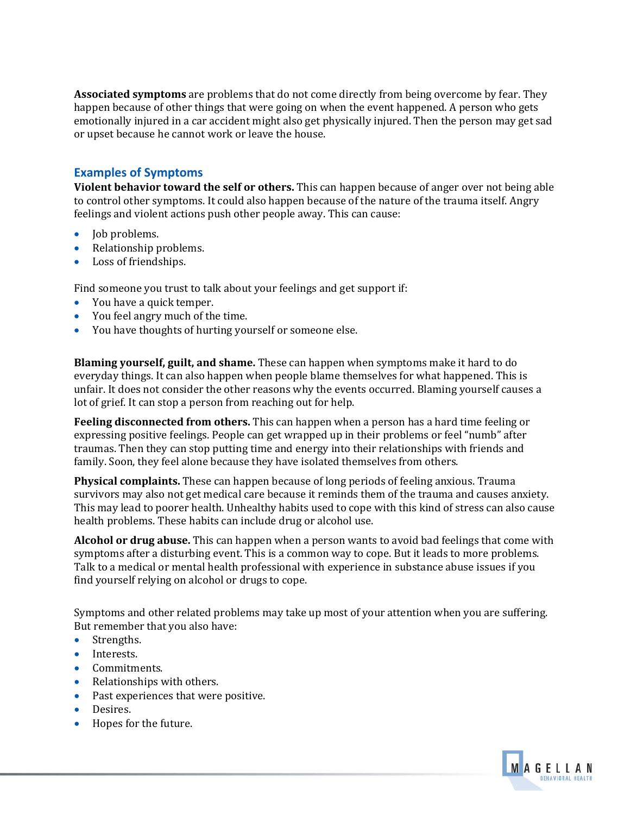**Associated symptoms** are problems that do not come directly from being overcome by fear. They happen because of other things that were going on when the event happened. A person who gets emotionally injured in a car accident might also get physically injured. Then the person may get sad or upset because he cannot work or leave the house.

## **Examples of Symptoms**

**Violent behavior toward the self or others.** This can happen because of anger over not being able to control other symptoms. It could also happen because of the nature of the trauma itself. Angry feelings and violent actions push other people away. This can cause:

- Job problems.
- Relationship problems.
- Loss of friendships.

Find someone you trust to talk about your feelings and get support if:

- You have a quick temper.
- You feel angry much of the time.
- You have thoughts of hurting yourself or someone else.

**Blaming yourself, guilt, and shame.** These can happen when symptoms make it hard to do everyday things. It can also happen when people blame themselves for what happened. This is unfair. It does not consider the other reasons why the events occurred. Blaming yourself causes a lot of grief. It can stop a person from reaching out for help.

**Feeling disconnected from others.** This can happen when a person has a hard time feeling or expressing positive feelings. People can get wrapped up in their problems or feel "numb" after traumas. Then they can stop putting time and energy into their relationships with friends and family. Soon, they feel alone because they have isolated themselves from others.

**Physical complaints.** These can happen because of long periods of feeling anxious. Trauma survivors may also not get medical care because it reminds them of the trauma and causes anxiety. This may lead to poorer health. Unhealthy habits used to cope with this kind of stress can also cause health problems. These habits can include drug or alcohol use.

**Alcohol or drug abuse.** This can happen when a person wants to avoid bad feelings that come with symptoms after a disturbing event. This is a common way to cope. But it leads to more problems. Talk to a medical or mental health professional with experience in substance abuse issues if you find yourself relying on alcohol or drugs to cope.

Symptoms and other related problems may take up most of your attention when you are suffering. But remember that you also have:

- Strengths.
- Interests.
- Commitments.
- Relationships with others.
- Past experiences that were positive.
- Desires.
- Hopes for the future.